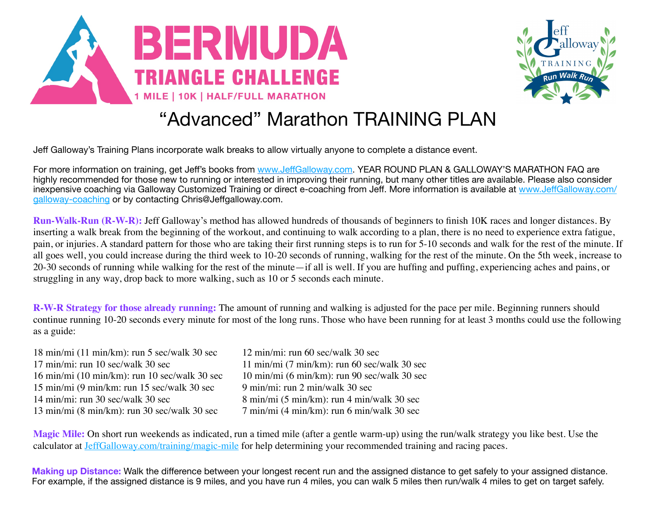



## "Advanced" Marathon TRAINING PLAN

Jeff Galloway's Training Plans incorporate walk breaks to allow virtually anyone to complete a distance event.

For more information on training, get Jeff's books from www.Jeff[Galloway.com.](http://www.jeffgalloway.com/) YEAR ROUND PLAN & GALLOWAY'S MARATHON FAQ are highly recommended for those new to running or interested in improving their running, but many other titles are available. Please also consider inexpensive coaching via Galloway Customized Training or direct e-coaching from Jeff. More information is available at www.Jeff[Galloway.com/](http://www.jeffgalloway.com/galloway-coaching) [galloway-coaching](http://www.jeffgalloway.com/galloway-coaching) or by contacting Chris@Jeffgalloway.com.

**Run-Walk-Run (R-W-R):** Jeff Galloway's method has allowed hundreds of thousands of beginners to finish 10K races and longer distances. By inserting a walk break from the beginning of the workout, and continuing to walk according to a plan, there is no need to experience extra fatigue, pain, or injuries. A standard pattern for those who are taking their first running steps is to run for 5-10 seconds and walk for the rest of the minute. If all goes well, you could increase during the third week to 10-20 seconds of running, walking for the rest of the minute. On the 5th week, increase to 20-30 seconds of running while walking for the rest of the minute—if all is well. If you are huffing and puffing, experiencing aches and pains, or struggling in any way, drop back to more walking, such as 10 or 5 seconds each minute.

**R-W-R Strategy for those already running:** The amount of running and walking is adjusted for the pace per mile. Beginning runners should continue running 10-20 seconds every minute for most of the long runs. Those who have been running for at least 3 months could use the following as a guide:

| 12 min/mi: run 60 sec/walk 30 sec                       |
|---------------------------------------------------------|
| $11 \text{ min/min}$ (7 min/km): run 60 sec/walk 30 sec |
| 10 min/mi (6 min/km): run 90 sec/walk 30 sec            |
| 9 min/mi: run 2 min/walk 30 sec                         |
| 8 min/mi (5 min/km): run 4 min/walk 30 sec              |
| 7 min/mi (4 min/km): run 6 min/walk 30 sec              |
|                                                         |

**Magic Mile:** On short run weekends as indicated, run a timed mile (after a gentle warm-up) using the run/walk strategy you like best. Use the calculator at [JeffGalloway.com/training/magic-mile](http://JeffGalloway.com/training/magic-mile) for help determining your recommended training and racing paces.

**Making up Distance:** Walk the difference between your longest recent run and the assigned distance to get safely to your assigned distance. For example, if the assigned distance is 9 miles, and you have run 4 miles, you can walk 5 miles then run/walk 4 miles to get on target safely.